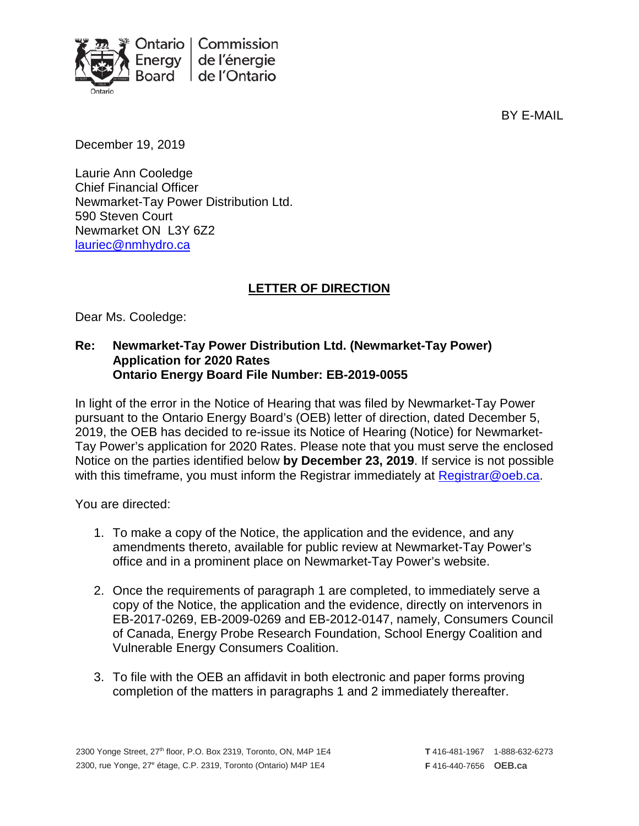

BY E-MAIL

December 19, 2019

Laurie Ann Cooledge Chief Financial Officer Newmarket-Tay Power Distribution Ltd. 590 Steven Court Newmarket ON L3Y 6Z2 [lauriec@nmhydro.ca](mailto:lauriec@nmhydro.ca)

## **LETTER OF DIRECTION**

Dear Ms. Cooledge:

## **Re: Newmarket-Tay Power Distribution Ltd. (Newmarket-Tay Power) Application for 2020 Rates Ontario Energy Board File Number: EB-2019-0055**

In light of the error in the Notice of Hearing that was filed by Newmarket-Tay Power pursuant to the Ontario Energy Board's (OEB) letter of direction, dated December 5, 2019, the OEB has decided to re-issue its Notice of Hearing (Notice) for Newmarket-Tay Power's application for 2020 Rates. Please note that you must serve the enclosed Notice on the parties identified below **by December 23, 2019**. If service is not possible with this timeframe, you must inform the Registrar immediately at [Registrar@oeb.ca.](mailto:Registrar@oeb.ca)

You are directed:

- 1. To make a copy of the Notice, the application and the evidence, and any amendments thereto, available for public review at Newmarket-Tay Power's office and in a prominent place on Newmarket-Tay Power's website.
- 2. Once the requirements of paragraph 1 are completed, to immediately serve a copy of the Notice, the application and the evidence, directly on intervenors in EB-2017-0269, EB-2009-0269 and EB-2012-0147, namely, Consumers Council of Canada, Energy Probe Research Foundation, School Energy Coalition and Vulnerable Energy Consumers Coalition.
- 3. To file with the OEB an affidavit in both electronic and paper forms proving completion of the matters in paragraphs 1 and 2 immediately thereafter.